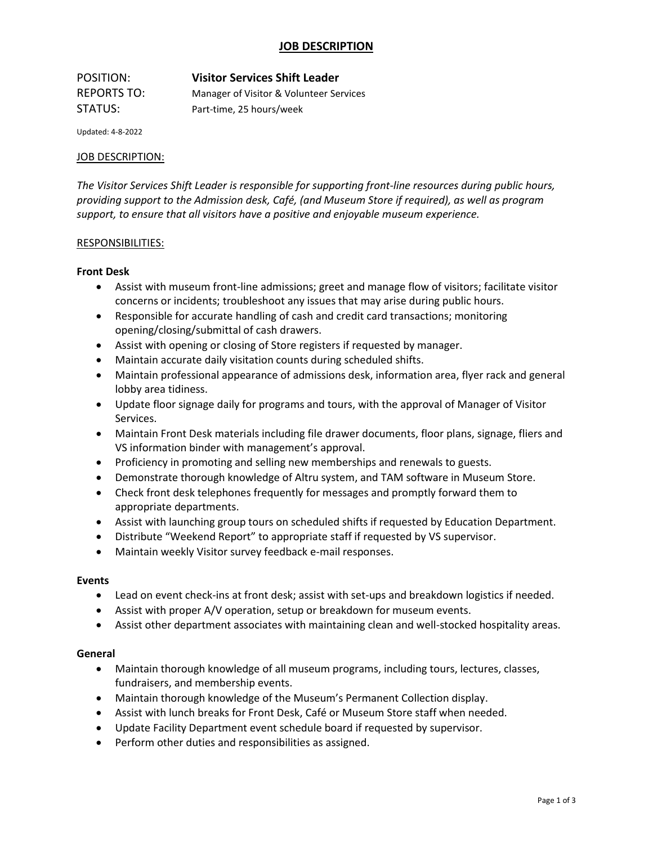## **JOB DESCRIPTION**

| POSITION:   | <b>Visitor Services Shift Leader</b>    |
|-------------|-----------------------------------------|
| REPORTS TO: | Manager of Visitor & Volunteer Services |
| STATUS:     | Part-time. 25 hours/week                |

Updated: 4-8-2022

### JOB DESCRIPTION:

*The Visitor Services Shift Leader is responsible for supporting front-line resources during public hours, providing support to the Admission desk, Café, (and Museum Store if required), as well as program support, to ensure that all visitors have a positive and enjoyable museum experience.*

### RESPONSIBILITIES:

### **Front Desk**

- Assist with museum front-line admissions; greet and manage flow of visitors; facilitate visitor concerns or incidents; troubleshoot any issues that may arise during public hours.
- Responsible for accurate handling of cash and credit card transactions; monitoring opening/closing/submittal of cash drawers.
- Assist with opening or closing of Store registers if requested by manager.
- Maintain accurate daily visitation counts during scheduled shifts.
- Maintain professional appearance of admissions desk, information area, flyer rack and general lobby area tidiness.
- Update floor signage daily for programs and tours, with the approval of Manager of Visitor Services.
- Maintain Front Desk materials including file drawer documents, floor plans, signage, fliers and VS information binder with management's approval.
- Proficiency in promoting and selling new memberships and renewals to guests.
- Demonstrate thorough knowledge of Altru system, and TAM software in Museum Store.
- Check front desk telephones frequently for messages and promptly forward them to appropriate departments.
- Assist with launching group tours on scheduled shifts if requested by Education Department.
- Distribute "Weekend Report" to appropriate staff if requested by VS supervisor.
- Maintain weekly Visitor survey feedback e-mail responses.

#### **Events**

- Lead on event check-ins at front desk; assist with set-ups and breakdown logistics if needed.
- Assist with proper A/V operation, setup or breakdown for museum events.
- Assist other department associates with maintaining clean and well-stocked hospitality areas.

#### **General**

- Maintain thorough knowledge of all museum programs, including tours, lectures, classes, fundraisers, and membership events.
- Maintain thorough knowledge of the Museum's Permanent Collection display.
- Assist with lunch breaks for Front Desk, Café or Museum Store staff when needed.
- Update Facility Department event schedule board if requested by supervisor.
- Perform other duties and responsibilities as assigned.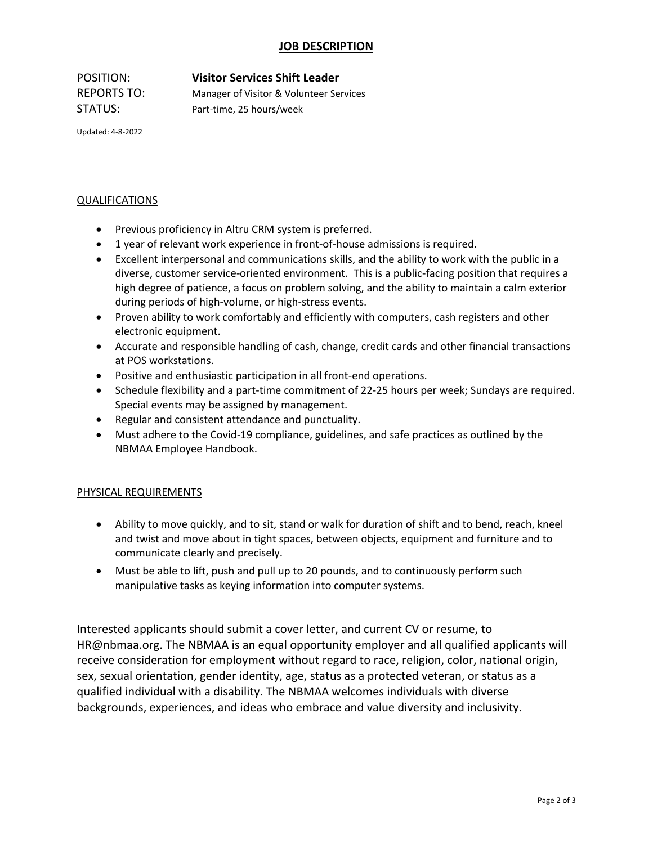## **JOB DESCRIPTION**

POSITION: **Visitor Services Shift Leader** REPORTS TO: Manager of Visitor & Volunteer Services STATUS: Part-time, 25 hours/week

Updated: 4-8-2022

### QUALIFICATIONS

- Previous proficiency in Altru CRM system is preferred.
- 1 year of relevant work experience in front-of-house admissions is required.
- Excellent interpersonal and communications skills, and the ability to work with the public in a diverse, customer service-oriented environment. This is a public-facing position that requires a high degree of patience, a focus on problem solving, and the ability to maintain a calm exterior during periods of high-volume, or high-stress events.
- Proven ability to work comfortably and efficiently with computers, cash registers and other electronic equipment.
- Accurate and responsible handling of cash, change, credit cards and other financial transactions at POS workstations.
- Positive and enthusiastic participation in all front-end operations.
- Schedule flexibility and a part-time commitment of 22-25 hours per week; Sundays are required. Special events may be assigned by management.
- Regular and consistent attendance and punctuality.
- Must adhere to the Covid-19 compliance, guidelines, and safe practices as outlined by the NBMAA Employee Handbook.

### PHYSICAL REQUIREMENTS

- Ability to move quickly, and to sit, stand or walk for duration of shift and to bend, reach, kneel and twist and move about in tight spaces, between objects, equipment and furniture and to communicate clearly and precisely.
- Must be able to lift, push and pull up to 20 pounds, and to continuously perform such manipulative tasks as keying information into computer systems.

Interested applicants should submit a cover letter, and current CV or resume, to [HR@nbmaa.org.](mailto:HR@nbmaa.org) The NBMAA is an equal opportunity employer and all qualified applicants will receive consideration for employment without regard to race, religion, color, national origin, sex, sexual orientation, gender identity, age, status as a protected veteran, or status as a qualified individual with a disability. The NBMAA welcomes individuals with diverse backgrounds, experiences, and ideas who embrace and value diversity and inclusivity.